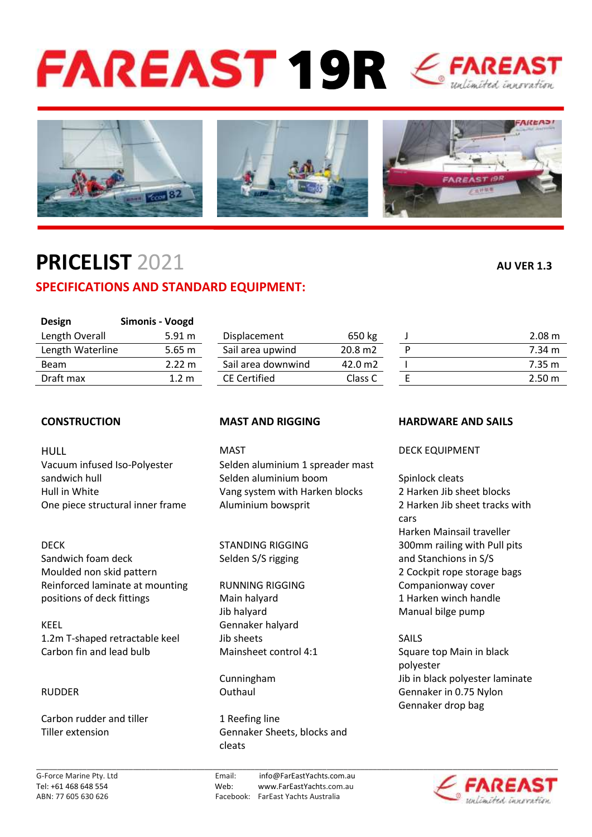# FAREAST 19R EFAREAST



## **PRICELIST** 2021 **AU VER 1.3**

## **SPECIFICATIONS AND STANDARD EQUIPMENT:**

| <b>Design</b>    | Simonis - Voogd  |                     |                   |                   |
|------------------|------------------|---------------------|-------------------|-------------------|
| Length Overall   | 5.91 m           | Displacement        | 650 kg            | 2.08 <sub>m</sub> |
| Length Waterline | $5.65 \text{ m}$ | Sail area upwind    | $20.8 \text{ m2}$ | 7.34 m            |
| Beam             | 2.22 m           | Sail area downwind  | 42.0 m2           | $7.35 \text{ m}$  |
| Draft max        | 1.2 m            | <b>CE Certified</b> | Class C           | $2.50 \text{ m}$  |
|                  |                  |                     |                   |                   |

|   | 2.08 m            |
|---|-------------------|
| ח | 7.34 m            |
|   | 7.35 m            |
|   | 2.50 <sub>m</sub> |
|   |                   |

HULL **MAST** MAST DECK EQUIPMENT

DECK **STANDING RIGGING** 300mm railing with Pull pits Sandwich foam deck Selden S/S rigging and Stanchions in S/S Moulded non skid pattern 2 Cockpit rope storage bags Reinforced laminate at mounting The RUNNING RIGGING The Companionway cover positions of deck fittings The Main halyard The Main handle 1 Harken winch handle

KEEL Gennaker halyard 1.2m T-shaped retractable keel Jib sheets SAILS Carbon fin and lead bulb Mainsheet control 4:1 Square top Main in black

Carbon rudder and tiller 1 Reefing line

Vacuum infused Iso-Polyester Selden aluminium 1 spreader mast sandwich hull Selden aluminium boom Spinlock cleats Hull in White Vang system with Harken blocks 2 Harken Jib sheet blocks One piece structural inner frame Aluminium bowsprit 2 Harken Jib sheet tracks with

Jib halyard Manual bilge pump

Tiller extension Gennaker Sheets, blocks and cleats

### **CONSTRUCTION MAST AND RIGGING HARDWARE AND SAILS**

cars Harken Mainsail traveller

polyester Cunningham Jib in black polyester laminate RUDDER **Outhaul Gennaker in 0.75 Nylon** Cuthaul Gennaker in 0.75 Nylon Gennaker drop bag